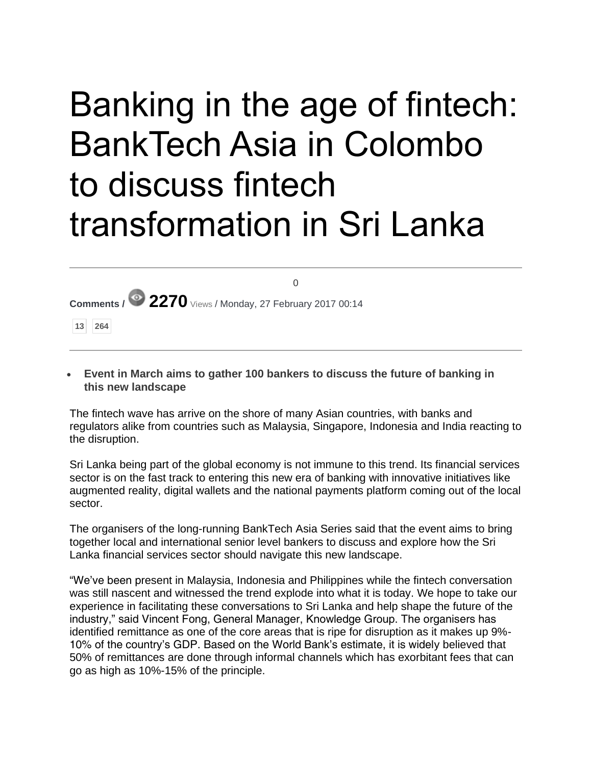## Banking in the age of fintech: BankTech Asia in Colombo to discuss fintech transformation in Sri Lanka

 $\sim$ 

|  |  | Comments / $\bullet$ 2270 Views / Monday, 27 February 2017 00:14 |
|--|--|------------------------------------------------------------------|

**13 264**

 **Event in March aims to gather 100 bankers to discuss the future of banking in this new landscape**

The fintech wave has arrive on the shore of many Asian countries, with banks and regulators alike from countries such as Malaysia, Singapore, Indonesia and India reacting to the disruption.

Sri Lanka being part of the global economy is not immune to this trend. Its financial services sector is on the fast track to entering this new era of banking with innovative initiatives like augmented reality, digital wallets and the national payments platform coming out of the local sector.

The organisers of the long-running BankTech Asia Series said that the event aims to bring together local and international senior level bankers to discuss and explore how the Sri Lanka financial services sector should navigate this new landscape.

"We've been present in Malaysia, Indonesia and Philippines while the fintech conversation was still nascent and witnessed the trend explode into what it is today. We hope to take our experience in facilitating these conversations to Sri Lanka and help shape the future of the industry," said Vincent Fong, General Manager, Knowledge Group. The organisers has identified remittance as one of the core areas that is ripe for disruption as it makes up 9%- 10% of the country's GDP. Based on the World Bank's estimate, it is widely believed that 50% of remittances are done through informal channels which has exorbitant fees that can go as high as 10%-15% of the principle.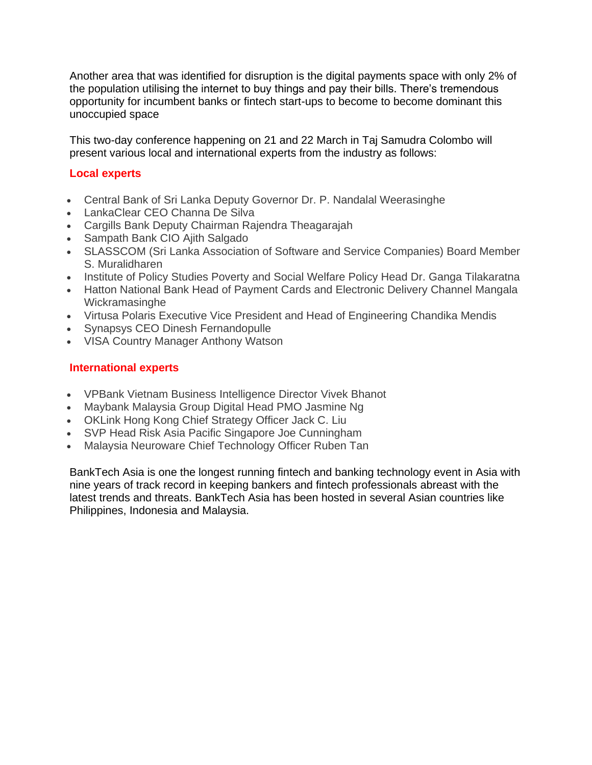Another area that was identified for disruption is the digital payments space with only 2% of the population utilising the internet to buy things and pay their bills. There's tremendous opportunity for incumbent banks or fintech start-ups to become to become dominant this unoccupied space

This two-day conference happening on 21 and 22 March in Taj Samudra Colombo will present various local and international experts from the industry as follows:

## **Local experts**

- Central Bank of Sri Lanka Deputy Governor Dr. P. Nandalal Weerasinghe
- LankaClear CEO Channa De Silva
- Cargills Bank Deputy Chairman Rajendra Theagarajah
- Sampath Bank CIO Ajith Salgado
- SLASSCOM (Sri Lanka Association of Software and Service Companies) Board Member S. Muralidharen
- Institute of Policy Studies Poverty and Social Welfare Policy Head Dr. Ganga Tilakaratna
- Hatton National Bank Head of Payment Cards and Electronic Delivery Channel Mangala Wickramasinghe
- Virtusa Polaris Executive Vice President and Head of Engineering Chandika Mendis
- Synapsys CEO Dinesh Fernandopulle
- VISA Country Manager Anthony Watson

## **International experts**

- VPBank Vietnam Business Intelligence Director Vivek Bhanot
- Maybank Malaysia Group Digital Head PMO Jasmine Ng
- OKLink Hong Kong Chief Strategy Officer Jack C. Liu
- SVP Head Risk Asia Pacific Singapore Joe Cunningham
- Malaysia Neuroware Chief Technology Officer Ruben Tan

BankTech Asia is one the longest running fintech and banking technology event in Asia with nine years of track record in keeping bankers and fintech professionals abreast with the latest trends and threats. BankTech Asia has been hosted in several Asian countries like Philippines, Indonesia and Malaysia.